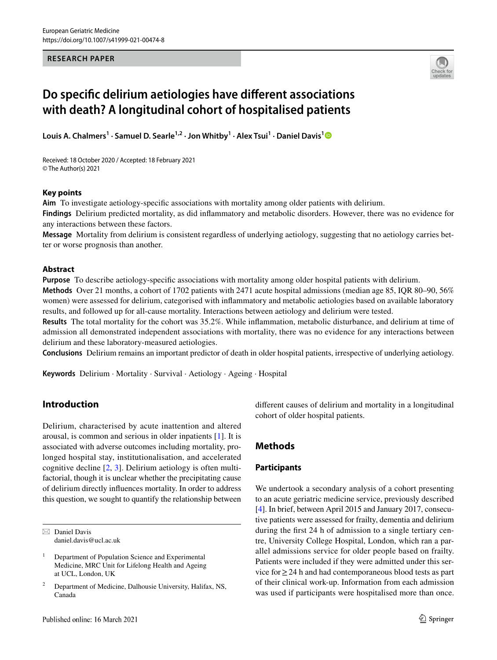#### **RESEARCH PAPER**



# **Do specifc delirium aetiologies have diferent associations with death? A longitudinal cohort of hospitalised patients**

Louis A. Chalmers<sup>[1](http://orcid.org/0000-0002-1560-1955)</sup> • Samuel D. Searle<sup>1,2</sup> • Jon Whitby<sup>1</sup> • Alex Tsui<sup>1</sup> • Daniel Davis<sup>1</sup>

Received: 18 October 2020 / Accepted: 18 February 2021 © The Author(s) 2021

#### **Key points**

**Aim** To investigate aetiology-specifc associations with mortality among older patients with delirium.

**Findings** Delirium predicted mortality, as did infammatory and metabolic disorders. However, there was no evidence for any interactions between these factors.

**Message** Mortality from delirium is consistent regardless of underlying aetiology, suggesting that no aetiology carries better or worse prognosis than another.

#### **Abstract**

**Purpose** To describe aetiology-specifc associations with mortality among older hospital patients with delirium. **Methods** Over 21 months, a cohort of 1702 patients with 2471 acute hospital admissions (median age 85, IQR 80–90, 56%

women) were assessed for delirium, categorised with infammatory and metabolic aetiologies based on available laboratory results, and followed up for all-cause mortality. Interactions between aetiology and delirium were tested.

**Results** The total mortality for the cohort was 35.2%. While infammation, metabolic disturbance, and delirium at time of admission all demonstrated independent associations with mortality, there was no evidence for any interactions between delirium and these laboratory-measured aetiologies.

**Conclusions** Delirium remains an important predictor of death in older hospital patients, irrespective of underlying aetiology.

**Keywords** Delirium · Mortality · Survival · Aetiology · Ageing · Hospital

# **Introduction**

Delirium, characterised by acute inattention and altered arousal, is common and serious in older inpatients [\[1](#page-3-0)]. It is associated with adverse outcomes including mortality, prolonged hospital stay, institutionalisation, and accelerated cognitive decline [[2,](#page-3-1) [3](#page-3-2)]. Delirium aetiology is often multifactorial, though it is unclear whether the precipitating cause of delirium directly infuences mortality. In order to address this question, we sought to quantify the relationship between

 $\boxtimes$  Daniel Davis daniel.davis@ucl.ac.uk diferent causes of delirium and mortality in a longitudinal cohort of older hospital patients.

# **Methods**

#### **Participants**

We undertook a secondary analysis of a cohort presenting to an acute geriatric medicine service, previously described [\[4](#page-3-3)]. In brief, between April 2015 and January 2017, consecutive patients were assessed for frailty, dementia and delirium during the frst 24 h of admission to a single tertiary centre, University College Hospital, London, which ran a parallel admissions service for older people based on frailty. Patients were included if they were admitted under this service for≥24 h and had contemporaneous blood tests as part of their clinical work-up. Information from each admission was used if participants were hospitalised more than once.

<sup>&</sup>lt;sup>1</sup> Department of Population Science and Experimental Medicine, MRC Unit for Lifelong Health and Ageing at UCL, London, UK

<sup>2</sup> Department of Medicine, Dalhousie University, Halifax, NS, Canada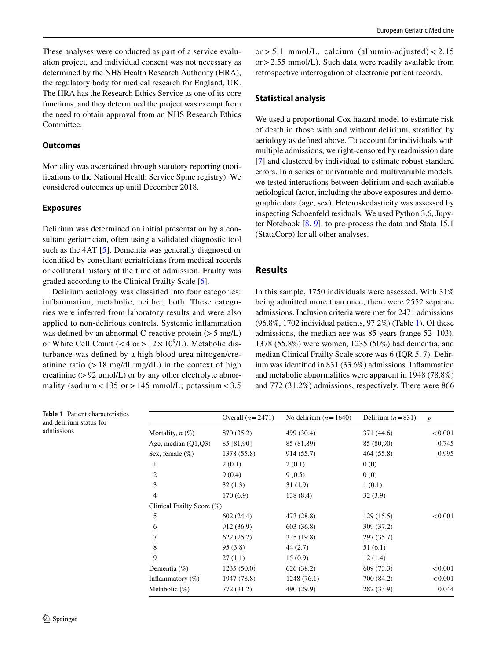These analyses were conducted as part of a service evaluation project, and individual consent was not necessary as determined by the NHS Health Research Authority (HRA), the regulatory body for medical research for England, UK. The HRA has the Research Ethics Service as one of its core functions, and they determined the project was exempt from the need to obtain approval from an NHS Research Ethics Committee.

#### **Outcomes**

Mortality was ascertained through statutory reporting (notifcations to the National Health Service Spine registry). We considered outcomes up until December 2018.

#### **Exposures**

Delirium was determined on initial presentation by a consultant geriatrician, often using a validated diagnostic tool such as the 4AT [[5\]](#page-3-4). Dementia was generally diagnosed or identifed by consultant geriatricians from medical records or collateral history at the time of admission. Frailty was graded according to the Clinical Frailty Scale [\[6](#page-3-5)].

Delirium aetiology was classifed into four categories: inflammation, metabolic, neither, both. These categories were inferred from laboratory results and were also applied to non-delirious controls. Systemic infammation was defined by an abnormal C-reactive protein  $(>5 \text{ mg/L})$ or White Cell Count  $(< 4 \text{ or } > 12 \times 10^9/\text{L})$ . Metabolic disturbance was defned by a high blood urea nitrogen/creatinine ratio  $(>18 \text{ mg/dL} \cdot \text{mg/dL})$  in the context of high creatinine  $(>92 \mu \text{mol/L})$  or by any other electrolyte abnormality (sodium <  $135$  or >  $145$  mmol/L; potassium <  $3.5$  or  $> 5.1$  mmol/L, calcium (albumin-adjusted)  $< 2.15$ or>2.55 mmol/L). Such data were readily available from retrospective interrogation of electronic patient records.

#### **Statistical analysis**

We used a proportional Cox hazard model to estimate risk of death in those with and without delirium, stratifed by aetiology as defned above. To account for individuals with multiple admissions, we right-censored by readmission date [[7\]](#page-3-6) and clustered by individual to estimate robust standard errors. In a series of univariable and multivariable models, we tested interactions between delirium and each available aetiological factor, including the above exposures and demographic data (age, sex). Heteroskedasticity was assessed by inspecting Schoenfeld residuals. We used Python 3.6, Jupyter Notebook [[8,](#page-3-7) [9](#page-3-8)], to pre-process the data and Stata 15.1 (StataCorp) for all other analyses.

#### **Results**

In this sample, 1750 individuals were assessed. With 31% being admitted more than once, there were 2552 separate admissions. Inclusion criteria were met for 2471 admissions (96.8%, 1702 individual patients, 97.2%) (Table [1\)](#page-1-0). Of these admissions, the median age was 85 years (range 52–103), 1378 (55.8%) were women, 1235 (50%) had dementia, and median Clinical Frailty Scale score was 6 (IQR 5, 7). Delirium was identifed in 831 (33.6%) admissions. Infammation and metabolic abnormalities were apparent in 1948 (78.8%) and 772 (31.2%) admissions, respectively. There were 866

<span id="page-1-0"></span>

| Table 1 Patient characteristics<br>and delirium status for |                            | Overall $(n=2471)$ | No delirium $(n=1640)$ | Delirium $(n=831)$ | $\boldsymbol{p}$ |  |  |  |  |
|------------------------------------------------------------|----------------------------|--------------------|------------------------|--------------------|------------------|--|--|--|--|
| admissions                                                 | Mortality, $n(\%)$         | 870 (35.2)         | 499 (30.4)             | 371 (44.6)         | < 0.001          |  |  |  |  |
|                                                            | Age, median $(Q1,Q3)$      | 85 [81,90]         | 85 (81,89)             | 85 (80,90)         | 0.745            |  |  |  |  |
|                                                            | Sex, female $(\%)$         | 1378 (55.8)        | 914 (55.7)             | 464 (55.8)         | 0.995            |  |  |  |  |
|                                                            | $\mathbf{I}$               | 2(0.1)             | 2(0.1)                 | 0(0)               |                  |  |  |  |  |
|                                                            | 2                          | 9(0.4)             | 9(0.5)                 | 0(0)               |                  |  |  |  |  |
|                                                            | 3                          | 32(1.3)            | 31(1.9)                | 1(0.1)             |                  |  |  |  |  |
|                                                            | 4                          | 170(6.9)           | 138(8.4)               | 32(3.9)            |                  |  |  |  |  |
|                                                            | Clinical Frailty Score (%) |                    |                        |                    |                  |  |  |  |  |
|                                                            | 5                          | 602(24.4)          | 473 (28.8)             | 129(15.5)          | < 0.001          |  |  |  |  |
|                                                            | 6                          | 912 (36.9)         | 603 (36.8)             | 309 (37.2)         |                  |  |  |  |  |
|                                                            | 7                          | 622(25.2)          | 325(19.8)              | 297 (35.7)         |                  |  |  |  |  |
|                                                            | 8                          | 95(3.8)            | 44(2.7)                | 51(6.1)            |                  |  |  |  |  |
|                                                            | 9                          | 27(1.1)            | 15(0.9)                | 12(1.4)            |                  |  |  |  |  |
|                                                            | Dementia $(\%)$            | 1235(50.0)         | 626(38.2)              | 609 (73.3)         | < 0.001          |  |  |  |  |
|                                                            | Inflammatory $(\%)$        | 1947 (78.8)        | 1248(76.1)             | 700 (84.2)         | < 0.001          |  |  |  |  |
|                                                            | Metabolic $(\%)$           | 772 (31.2)         | 490 (29.9)             | 282 (33.9)         | 0.044            |  |  |  |  |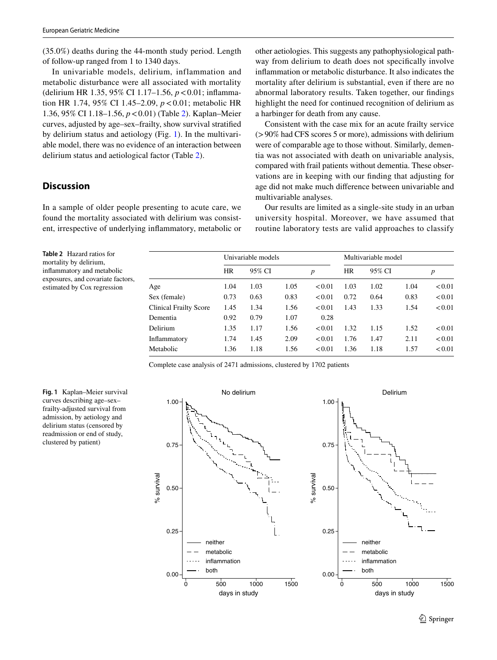(35.0%) deaths during the 44-month study period. Length of follow-up ranged from 1 to 1340 days.

In univariable models, delirium, inflammation and metabolic disturbance were all associated with mortality (delirium HR 1.35, 95% CI 1.17–1.56, *p*<0.01; infammation HR 1.74, 95% CI 1.45–2.09, *p*<0.01; metabolic HR 1.36, 95% CI 1.18–1.56, *p*<0.01) (Table [2\)](#page-2-0). Kaplan–Meier curves, adjusted by age–sex–frailty, show survival stratifed by delirium status and aetiology (Fig. [1\)](#page-2-1). In the multivariable model, there was no evidence of an interaction between delirium status and aetiological factor (Table [2](#page-2-0)).

# **Discussion**

In a sample of older people presenting to acute care, we found the mortality associated with delirium was consistent, irrespective of underlying infammatory, metabolic or other aetiologies. This suggests any pathophysiological pathway from delirium to death does not specifcally involve infammation or metabolic disturbance. It also indicates the mortality after delirium is substantial, even if there are no abnormal laboratory results. Taken together, our fndings highlight the need for continued recognition of delirium as a harbinger for death from any cause.

Consistent with the case mix for an acute frailty service (>90% had CFS scores 5 or more), admissions with delirium were of comparable age to those without. Similarly, dementia was not associated with death on univariable analysis, compared with frail patients without dementia. These observations are in keeping with our fnding that adjusting for age did not make much diference between univariable and multivariable analyses.

Our results are limited as a single-site study in an urban university hospital. Moreover, we have assumed that routine laboratory tests are valid approaches to classify

<span id="page-2-0"></span>**Table 2** Hazard ratios for mortality by delirium, infammatory and metabolic exposures, and covariate factors, estimated by Cox regression

|                               | Univariable models |        |      |                  | Multivariable model |        |      |        |
|-------------------------------|--------------------|--------|------|------------------|---------------------|--------|------|--------|
|                               | <b>HR</b>          | 95% CI |      | $\boldsymbol{p}$ | HR                  | 95% CI |      | p      |
| Age                           | 1.04               | 1.03   | 1.05 | < 0.01           | 1.03                | 1.02   | 1.04 | < 0.01 |
| Sex (female)                  | 0.73               | 0.63   | 0.83 | < 0.01           | 0.72                | 0.64   | 0.83 | < 0.01 |
| <b>Clinical Frailty Score</b> | 1.45               | 1.34   | 1.56 | < 0.01           | 1.43                | 1.33   | 1.54 | < 0.01 |
| Dementia                      | 0.92               | 0.79   | 1.07 | 0.28             |                     |        |      |        |
| Delirium                      | 1.35               | 1.17   | 1.56 | < 0.01           | 1.32                | 1.15   | 1.52 | < 0.01 |
| Inflammatory                  | 1.74               | 1.45   | 2.09 | < 0.01           | 1.76                | 1.47   | 2.11 | < 0.01 |
| Metabolic                     | 1.36               | 1.18   | 1.56 | < 0.01           | 1.36                | 1.18   | 1.57 | < 0.01 |

Complete case analysis of 2471 admissions, clustered by 1702 patients

<span id="page-2-1"></span>**Fig. 1** Kaplan–Meier survival curves describing age–sex– frailty-adjusted survival from admission, by aetiology and delirium status (censored by readmission or end of study, clustered by patient)

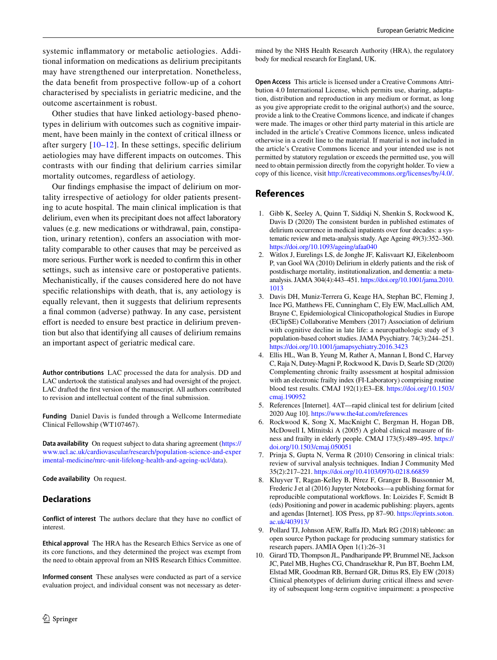systemic infammatory or metabolic aetiologies. Additional information on medications as delirium precipitants may have strengthened our interpretation. Nonetheless, the data beneft from prospective follow-up of a cohort characterised by specialists in geriatric medicine, and the outcome ascertainment is robust.

Other studies that have linked aetiology-based phenotypes in delirium with outcomes such as cognitive impairment, have been mainly in the context of critical illness or after surgery  $[10-12]$  $[10-12]$  $[10-12]$ . In these settings, specific delirium aetiologies may have diferent impacts on outcomes. This contrasts with our fnding that delirium carries similar mortality outcomes, regardless of aetiology.

Our fndings emphasise the impact of delirium on mortality irrespective of aetiology for older patients presenting to acute hospital. The main clinical implication is that delirium, even when its precipitant does not affect laboratory values (e.g. new medications or withdrawal, pain, constipation, urinary retention), confers an association with mortality comparable to other causes that may be perceived as more serious. Further work is needed to confrm this in other settings, such as intensive care or postoperative patients. Mechanistically, if the causes considered here do not have specifc relationships with death, that is, any aetiology is equally relevant, then it suggests that delirium represents a fnal common (adverse) pathway. In any case, persistent effort is needed to ensure best practice in delirium prevention but also that identifying all causes of delirium remains an important aspect of geriatric medical care.

**Author contributions** LAC processed the data for analysis. DD and LAC undertook the statistical analyses and had oversight of the project. LAC drafted the frst version of the manuscript. All authors contributed to revision and intellectual content of the fnal submission.

**Funding** Daniel Davis is funded through a Wellcome Intermediate Clinical Fellowship (WT107467).

**Data availability** On request subject to data sharing agreement ([https://](https://www.ucl.ac.uk/cardiovascular/research/population-science-and-experimental-medicine/mrc-unit-lifelong-health-and-ageing-ucl/data) [www.ucl.ac.uk/cardiovascular/research/population-science-and-exper](https://www.ucl.ac.uk/cardiovascular/research/population-science-and-experimental-medicine/mrc-unit-lifelong-health-and-ageing-ucl/data) [imental-medicine/mrc-unit-lifelong-health-and-ageing-ucl/data\)](https://www.ucl.ac.uk/cardiovascular/research/population-science-and-experimental-medicine/mrc-unit-lifelong-health-and-ageing-ucl/data).

**Code availability** On request.

#### **Declarations**

**Conflict of interest** The authors declare that they have no confict of interest.

**Ethical approval** The HRA has the Research Ethics Service as one of its core functions, and they determined the project was exempt from the need to obtain approval from an NHS Research Ethics Committee.

**Informed consent** These analyses were conducted as part of a service evaluation project, and individual consent was not necessary as determined by the NHS Health Research Authority (HRA), the regulatory body for medical research for England, UK.

**Open Access** This article is licensed under a Creative Commons Attribution 4.0 International License, which permits use, sharing, adaptation, distribution and reproduction in any medium or format, as long as you give appropriate credit to the original author(s) and the source, provide a link to the Creative Commons licence, and indicate if changes were made. The images or other third party material in this article are included in the article's Creative Commons licence, unless indicated otherwise in a credit line to the material. If material is not included in the article's Creative Commons licence and your intended use is not permitted by statutory regulation or exceeds the permitted use, you will need to obtain permission directly from the copyright holder. To view a copy of this licence, visit<http://creativecommons.org/licenses/by/4.0/>.

# **References**

- <span id="page-3-0"></span>1. Gibb K, Seeley A, Quinn T, Siddiqi N, Shenkin S, Rockwood K, Davis D (2020) The consistent burden in published estimates of delirium occurrence in medical inpatients over four decades: a systematic review and meta-analysis study. Age Ageing 49(3):352–360. <https://doi.org/10.1093/ageing/afaa040>
- <span id="page-3-1"></span>2. Witlox J, Eurelings LS, de Jonghe JF, Kalisvaart KJ, Eikelenboom P, van Gool WA (2010) Delirium in elderly patients and the risk of postdischarge mortality, institutionalization, and dementia: a metaanalysis. JAMA 304(4):443–451. [https://doi.org/10.1001/jama.2010.](https://doi.org/10.1001/jama.2010.1013) [1013](https://doi.org/10.1001/jama.2010.1013)
- <span id="page-3-2"></span>3. Davis DH, Muniz-Terrera G, Keage HA, Stephan BC, Fleming J, Ince PG, Matthews FE, Cunningham C, Ely EW, MacLullich AM, Brayne C, Epidemiological Clinicopathological Studies in Europe (EClipSE) Collaborative Members (2017) Association of delirium with cognitive decline in late life: a neuropathologic study of 3 population-based cohort studies. JAMA Psychiatry. 74(3):244–251. <https://doi.org/10.1001/jamapsychiatry.2016.3423>
- <span id="page-3-3"></span>4. Ellis HL, Wan B, Yeung M, Rather A, Mannan I, Bond C, Harvey C, Raja N, Dutey-Magni P, Rockwood K, Davis D, Searle SD (2020) Complementing chronic frailty assessment at hospital admission with an electronic frailty index (FI-Laboratory) comprising routine blood test results. CMAJ 192(1):E3–E8. [https://doi.org/10.1503/](https://doi.org/10.1503/cmaj.190952) [cmaj.190952](https://doi.org/10.1503/cmaj.190952)
- <span id="page-3-4"></span>5. References [Internet]. 4AT—rapid clinical test for delirium [cited 2020 Aug 10].<https://www.the4at.com/references>
- <span id="page-3-5"></span>6. Rockwood K, Song X, MacKnight C, Bergman H, Hogan DB, McDowell I, Mitnitski A (2005) A global clinical measure of ftness and frailty in elderly people. CMAJ 173(5):489–495. [https://](https://doi.org/10.1503/cmaj.050051) [doi.org/10.1503/cmaj.050051](https://doi.org/10.1503/cmaj.050051)
- <span id="page-3-6"></span>7. Prinja S, Gupta N, Verma R (2010) Censoring in clinical trials: review of survival analysis techniques. Indian J Community Med 35(2):217–221. <https://doi.org/10.4103/0970-0218.66859>
- <span id="page-3-7"></span>8. Kluyver T, Ragan-Kelley B, Pérez F, Granger B, Bussonnier M, Frederic J et al (2016) Jupyter Notebooks—a publishing format for reproducible computational workfows. In: Loizides F, Scmidt B (eds) Positioning and power in academic publishing: players, agents and agendas [Internet]. IOS Press, pp 87–90. [https://eprints.soton.](https://eprints.soton.ac.uk/403913/) [ac.uk/403913/](https://eprints.soton.ac.uk/403913/)
- <span id="page-3-8"></span>9. Pollard TJ, Johnson AEW, Rafa JD, Mark RG (2018) tableone: an open source Python package for producing summary statistics for research papers. JAMIA Open 1(1):26–31
- <span id="page-3-9"></span>10. Girard TD, Thompson JL, Pandharipande PP, Brummel NE, Jackson JC, Patel MB, Hughes CG, Chandrasekhar R, Pun BT, Boehm LM, Elstad MR, Goodman RB, Bernard GR, Dittus RS, Ely EW (2018) Clinical phenotypes of delirium during critical illness and severity of subsequent long-term cognitive impairment: a prospective